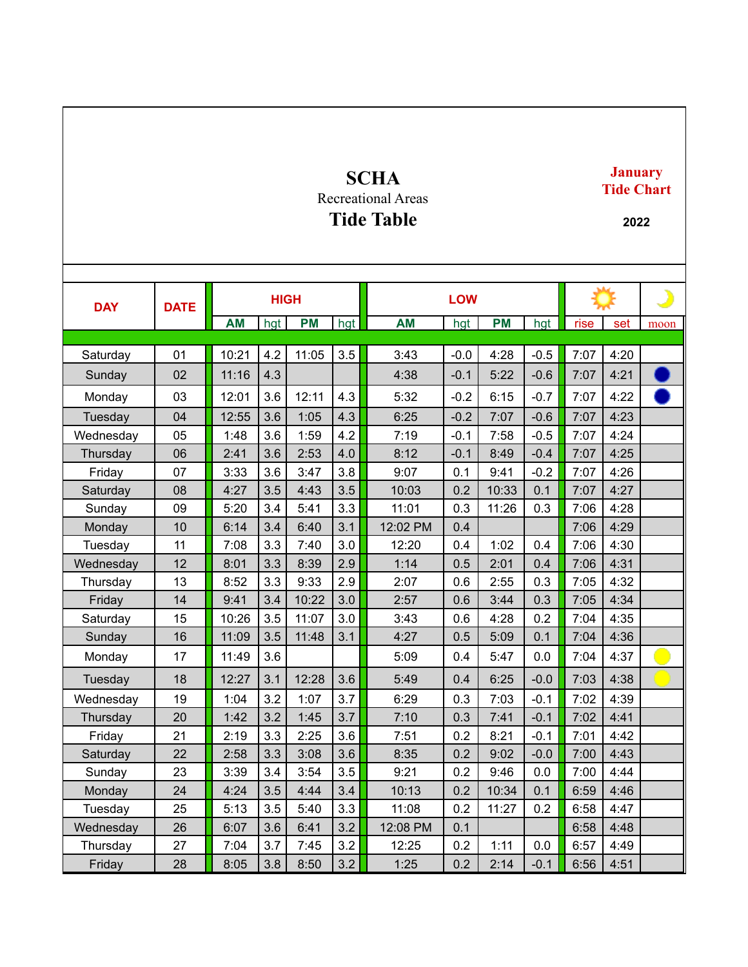## **SCHA** Recreational Areas

**Tide Table**

## **January Tide Chart**

**2022**

|            | <b>DATE</b> | <b>HIGH</b> |     |           |     | <b>LOW</b> |        |           |        |      |      | ♪    |
|------------|-------------|-------------|-----|-----------|-----|------------|--------|-----------|--------|------|------|------|
| <b>DAY</b> |             |             |     |           |     |            |        |           |        |      |      |      |
|            |             | <b>AM</b>   | hgt | <b>PM</b> | hgt | <b>AM</b>  | hgt    | <b>PM</b> | hgt    | rise | set  | moon |
| Saturday   | 01          | 10:21       | 4.2 | 11:05     | 3.5 | 3:43       | $-0.0$ | 4:28      | $-0.5$ | 7:07 | 4:20 |      |
| Sunday     | 02          | 11:16       | 4.3 |           |     | 4:38       | $-0.1$ | 5:22      | $-0.6$ | 7:07 | 4:21 |      |
| Monday     | 03          | 12:01       | 3.6 | 12:11     | 4.3 | 5:32       | $-0.2$ | 6:15      | $-0.7$ | 7:07 | 4:22 |      |
| Tuesday    | 04          | 12:55       | 3.6 | 1:05      | 4.3 | 6:25       | $-0.2$ | 7:07      | $-0.6$ | 7:07 | 4:23 |      |
| Wednesday  | 05          | 1:48        | 3.6 | 1:59      | 4.2 | 7:19       | $-0.1$ | 7:58      | $-0.5$ | 7:07 | 4:24 |      |
| Thursday   | 06          | 2:41        | 3.6 | 2:53      | 4.0 | 8:12       | $-0.1$ | 8:49      | $-0.4$ | 7:07 | 4:25 |      |
| Friday     | 07          | 3:33        | 3.6 | 3:47      | 3.8 | 9:07       | 0.1    | 9:41      | $-0.2$ | 7:07 | 4:26 |      |
| Saturday   | 08          | 4:27        | 3.5 | 4:43      | 3.5 | 10:03      | 0.2    | 10:33     | 0.1    | 7:07 | 4:27 |      |
| Sunday     | 09          | 5:20        | 3.4 | 5:41      | 3.3 | 11:01      | 0.3    | 11:26     | 0.3    | 7:06 | 4:28 |      |
| Monday     | 10          | 6:14        | 3.4 | 6:40      | 3.1 | 12:02 PM   | 0.4    |           |        | 7:06 | 4:29 |      |
| Tuesday    | 11          | 7:08        | 3.3 | 7:40      | 3.0 | 12:20      | 0.4    | 1:02      | 0.4    | 7:06 | 4:30 |      |
| Wednesday  | 12          | 8:01        | 3.3 | 8:39      | 2.9 | 1:14       | 0.5    | 2:01      | 0.4    | 7:06 | 4:31 |      |
| Thursday   | 13          | 8:52        | 3.3 | 9:33      | 2.9 | 2:07       | 0.6    | 2:55      | 0.3    | 7:05 | 4:32 |      |
| Friday     | 14          | 9:41        | 3.4 | 10:22     | 3.0 | 2:57       | 0.6    | 3:44      | 0.3    | 7:05 | 4:34 |      |
| Saturday   | 15          | 10:26       | 3.5 | 11:07     | 3.0 | 3:43       | 0.6    | 4:28      | 0.2    | 7:04 | 4:35 |      |
| Sunday     | 16          | 11:09       | 3.5 | 11:48     | 3.1 | 4:27       | 0.5    | 5:09      | 0.1    | 7:04 | 4:36 |      |
| Monday     | 17          | 11:49       | 3.6 |           |     | 5:09       | 0.4    | 5:47      | 0.0    | 7:04 | 4:37 |      |
| Tuesday    | 18          | 12:27       | 3.1 | 12:28     | 3.6 | 5:49       | 0.4    | 6:25      | $-0.0$ | 7:03 | 4:38 |      |
| Wednesday  | 19          | 1:04        | 3.2 | 1:07      | 3.7 | 6:29       | 0.3    | 7:03      | $-0.1$ | 7:02 | 4:39 |      |
| Thursday   | 20          | 1:42        | 3.2 | 1:45      | 3.7 | 7:10       | 0.3    | 7:41      | $-0.1$ | 7:02 | 4:41 |      |
| Friday     | 21          | 2:19        | 3.3 | 2:25      | 3.6 | 7:51       | 0.2    | 8:21      | $-0.1$ | 7:01 | 4:42 |      |
| Saturday   | 22          | 2:58        | 3.3 | 3:08      | 3.6 | 8:35       | 0.2    | 9:02      | $-0.0$ | 7:00 | 4:43 |      |
| Sunday     | 23          | 3:39        | 3.4 | 3:54      | 3.5 | 9:21       | 0.2    | 9:46      | 0.0    | 7:00 | 4:44 |      |
| Monday     | 24          | 4:24        | 3.5 | 4:44      | 3.4 | 10:13      | 0.2    | 10:34     | 0.1    | 6:59 | 4:46 |      |
| Tuesday    | 25          | 5:13        | 3.5 | 5:40      | 3.3 | 11:08      | 0.2    | 11:27     | 0.2    | 6:58 | 4:47 |      |
| Wednesday  | 26          | 6:07        | 3.6 | 6:41      | 3.2 | 12:08 PM   | 0.1    |           |        | 6:58 | 4:48 |      |
| Thursday   | 27          | 7:04        | 3.7 | 7:45      | 3.2 | 12:25      | 0.2    | 1:11      | 0.0    | 6:57 | 4:49 |      |
| Friday     | 28          | 8:05        | 3.8 | 8:50      | 3.2 | 1:25       | 0.2    | 2:14      | $-0.1$ | 6:56 | 4:51 |      |